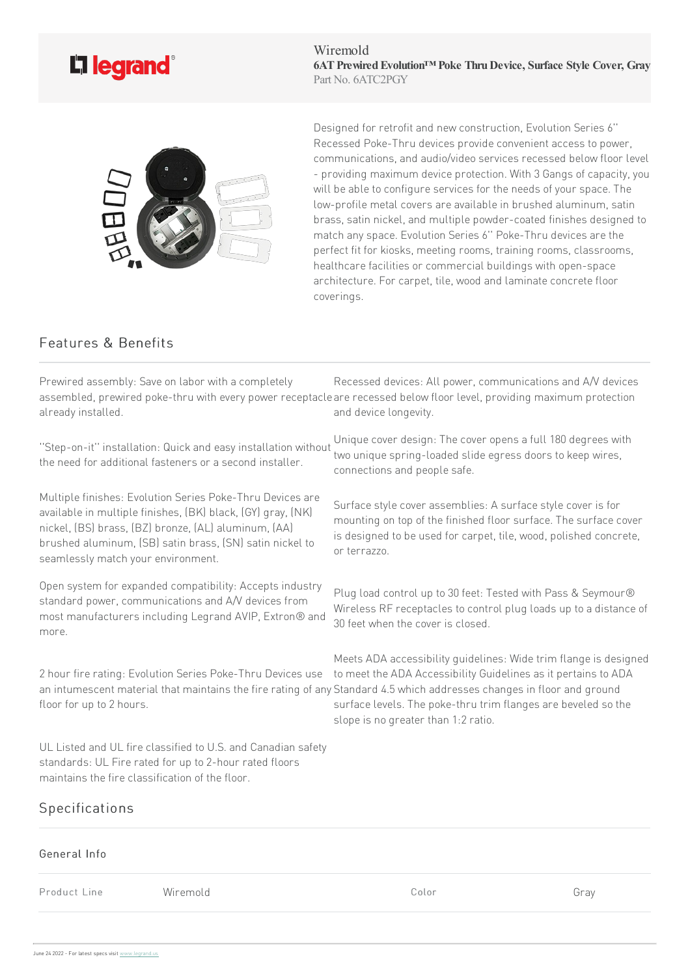

Wiremold **6ATPrewiredEvolution™ Poke ThruDevice, Surface Style Cover, Gray** Part No. 6ATC2PGY



Designed for retrofit and new construction, Evolution Series 6" Recessed Poke-Thru devices provide convenient access to power. communications, and audio/video services recessed below floor level - providing maximum device protection. With 3 Gangs of capacity, you will be able to configure services for the needs of your space. The low-profile metal covers are available in brushed aluminum, satin brass, satin nickel, and multiple powder-coated finishes designed to match any space. Evolution Series 6" Poke-Thru devices are the perfect fit for kiosks, meeting rooms, training rooms, classrooms, healthcare facilities or commercial buildings with open-space architecture. For carpet, tile, wood and laminate concrete floor coverings.

## Features & Benefits

Prewired assembly: Save on labor with a completely assembled, prewired poke-thru with every power receptacle are recessed below floor level, providing maximum protection already installed. Recessed devices: All power, communications and A/V devices and device longevity.

''Step-on-it'' installation: Quickand easy installation without the need for additional fasteners or a second installer.

Multiple finishes: Evolution Series Poke-Thru Devices are available in multiple finishes, (BK) black, (GY) gray, (NK) nickel, (BS) brass, (BZ) bronze, (AL) aluminum, (AA) brushed aluminum, (SB) satin brass, (SN) satin nickel to seamlessly match your environment.

Open system for expanded compatibility: Accepts industry standard power, communications and A/V devices from most manufacturers including Legrand AVIP, Extron® and more.

2 hour fire rating: Evolution Series Poke-Thru Devices use floor for up to 2 hours.

UL Listed and UL fire classified to U.S. and Canadian safety standards: UL Fire rated for up to 2-hour rated floors maintains the fire classification of the floor.

## Specifications

General Info Product Line Wiremold Color Gray

Unique cover design: The cover opens a full 180 degrees with two unique spring-loaded slide egress doors to keep wires, connections and people safe.

Surface style cover assemblies: A surface style cover is for mounting on top of the finished floor surface. The surface cover is designed to be used for carpet, tile, wood, polished concrete, or terrazzo.

Plug load control up to 30 feet: Tested with Pass & Seymour® Wireless RF receptacles to control plug loads up to a distance of 30 feet when the cover is closed.

an intumescent material that maintains the fire rating of any Standard 4.5 which addresses changes in floor and ground Meets ADA accessibility quidelines: Wide trim flange is designed to meet the ADA Accessibility Guidelines as it pertains to ADA surface levels. The poke-thru trim flanges are beveled so the slope is no greater than 1:2 ratio.